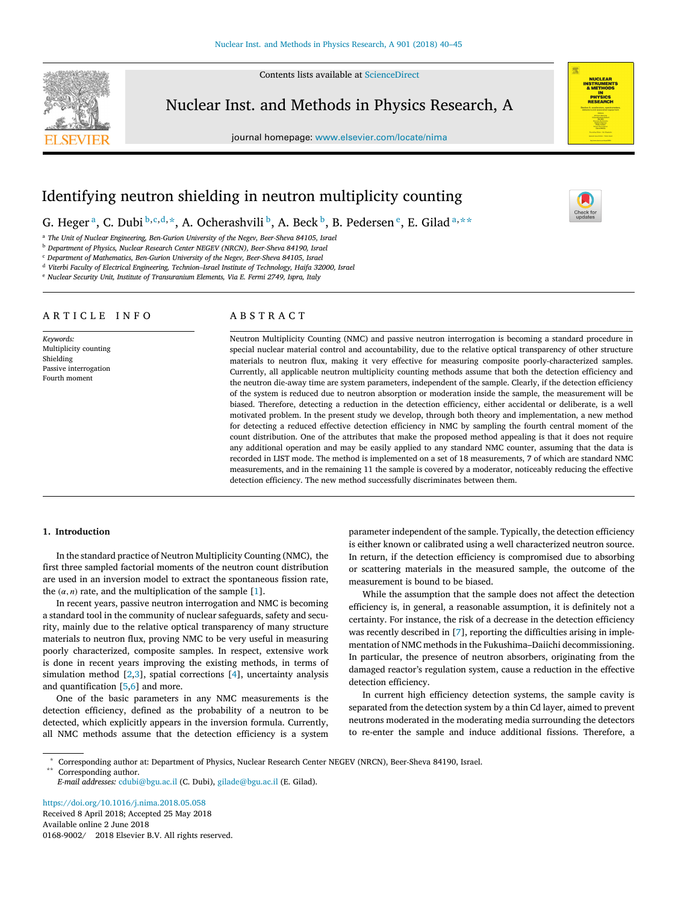Contents lists available at [ScienceDirect](http://www.elsevier.com/locate/nima)



Nuclear Inst. and Methods in Physics Research, A

journal homepage: [www.elsevier.com/locate/nima](http://www.elsevier.com/locate/nima)



# Identifying neutron shielding in neutron multiplicity counting

G. Heger <sup>[a](#page-0-0)</sup>, C. Du[b](#page-0-1)i  $^{\text{b,c,d,}\star}$  $^{\text{b,c,d,}\star}$  $^{\text{b,c,d,}\star}$  $^{\text{b,c,d,}\star}$  $^{\text{b,c,d,}\star}$ , A. Och[e](#page-0-5)rashvili  $^{\text{b}}$ , A. Beck  $^{\text{b}}$ , B. Pedersen  $^{\text{e}}$ , E. Gilad  $^{\text{a,}\star\star}$  $^{\text{a,}\star\star}$  $^{\text{a,}\star\star}$ 

<span id="page-0-0"></span><sup>a</sup> *The Unit of Nuclear Engineering, Ben-Gurion University of the Negev, Beer-Sheva 84105, Israel*

<span id="page-0-1"></span><sup>b</sup> *Department of Physics, Nuclear Research Center NEGEV (NRCN), Beer-Sheva 84190, Israel*

<span id="page-0-2"></span><sup>c</sup> *Department of Mathematics, Ben-Gurion University of the Negev, Beer-Sheva 84105, Israel*

<span id="page-0-3"></span><sup>d</sup> *Viterbi Faculty of Electrical Engineering, Technion–Israel Institute of Technology, Haifa 32000, Israel*

<span id="page-0-5"></span><sup>e</sup> *Nuclear Security Unit, Institute of Transuranium Elements, Via E. Fermi 2749, Ispra, Italy*

# ARTICLE INFO

*Keywords:* Multiplicity counting Shielding Passive interrogation Fourth moment

### A B S T R A C T

Neutron Multiplicity Counting (NMC) and passive neutron interrogation is becoming a standard procedure in special nuclear material control and accountability, due to the relative optical transparency of other structure materials to neutron flux, making it very effective for measuring composite poorly-characterized samples. Currently, all applicable neutron multiplicity counting methods assume that both the detection efficiency and the neutron die-away time are system parameters, independent of the sample. Clearly, if the detection efficiency of the system is reduced due to neutron absorption or moderation inside the sample, the measurement will be biased. Therefore, detecting a reduction in the detection efficiency, either accidental or deliberate, is a well motivated problem. In the present study we develop, through both theory and implementation, a new method for detecting a reduced effective detection efficiency in NMC by sampling the fourth central moment of the count distribution. One of the attributes that make the proposed method appealing is that it does not require any additional operation and may be easily applied to any standard NMC counter, assuming that the data is recorded in LIST mode. The method is implemented on a set of 18 measurements, 7 of which are standard NMC measurements, and in the remaining 11 the sample is covered by a moderator, noticeably reducing the effective detection efficiency. The new method successfully discriminates between them.

#### **1. Introduction**

In the standard practice of Neutron Multiplicity Counting (NMC), the first three sampled factorial moments of the neutron count distribution are used in an inversion model to extract the spontaneous fission rate, the  $(\alpha, n)$  rate, and the multiplication of the sample [\[1\]](#page-5-0).

In recent years, passive neutron interrogation and NMC is becoming a standard tool in the community of nuclear safeguards, safety and security, mainly due to the relative optical transparency of many structure materials to neutron flux, proving NMC to be very useful in measuring poorly characterized, composite samples. In respect, extensive work is done in recent years improving the existing methods, in terms of simulation method [\[2](#page-5-1)[,3\]](#page-5-2), spatial corrections [\[4\]](#page-5-3), uncertainty analysis and quantification [\[5,](#page-5-4)[6\]](#page-5-5) and more.

One of the basic parameters in any NMC measurements is the detection efficiency, defined as the probability of a neutron to be detected, which explicitly appears in the inversion formula. Currently, all NMC methods assume that the detection efficiency is a system

parameter independent of the sample. Typically, the detection efficiency is either known or calibrated using a well characterized neutron source. In return, if the detection efficiency is compromised due to absorbing or scattering materials in the measured sample, the outcome of the measurement is bound to be biased.

While the assumption that the sample does not affect the detection efficiency is, in general, a reasonable assumption, it is definitely not a certainty. For instance, the risk of a decrease in the detection efficiency was recently described in [\[7\]](#page-5-6), reporting the difficulties arising in implementation of NMC methods in the Fukushima–Daiichi decommissioning. In particular, the presence of neutron absorbers, originating from the damaged reactor's regulation system, cause a reduction in the effective detection efficiency.

In current high efficiency detection systems, the sample cavity is separated from the detection system by a thin Cd layer, aimed to prevent neutrons moderated in the moderating media surrounding the detectors to re-enter the sample and induce additional fissions. Therefore, a

<span id="page-0-6"></span><span id="page-0-4"></span>\* Corresponding author at: Department of Physics, Nuclear Research Center NEGEV (NRCN), Beer-Sheva 84190, Israel. Corresponding author.

*E-mail addresses:* [cdubi@bgu.ac.il](mailto:cdubi@bgu.ac.il) (C. Dubi), [gilade@bgu.ac.il](mailto:gilade@bgu.ac.il) (E. Gilad).

<https://doi.org/10.1016/j.nima.2018.05.058> Received 8 April 2018; Accepted 25 May 2018 Available online 2 June 2018 0168-9002/' 2018 Elsevier B.V. All rights reserved.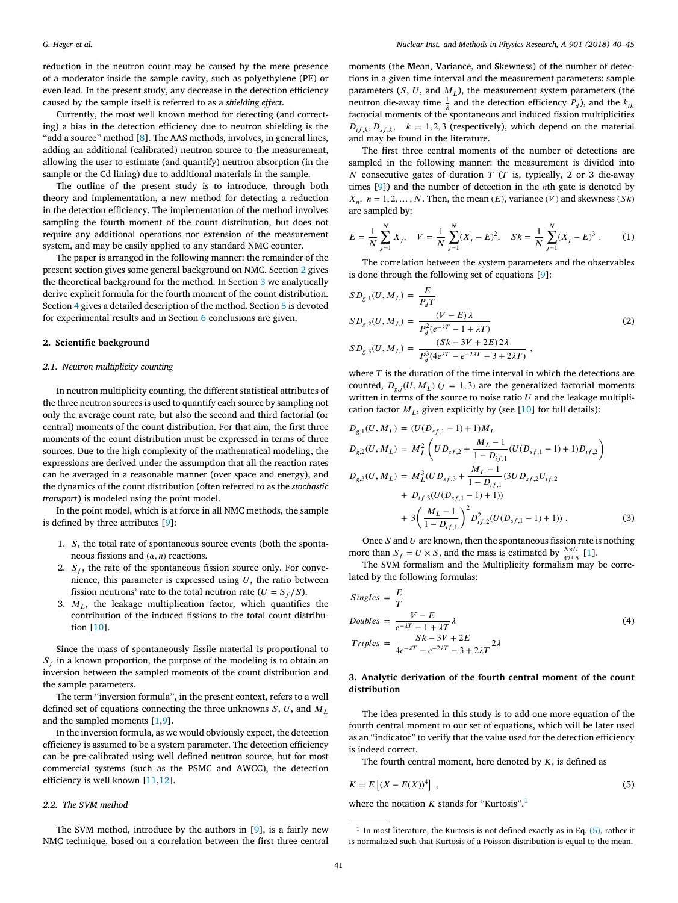reduction in the neutron count may be caused by the mere presence of a moderator inside the sample cavity, such as polyethylene (PE) or even lead. In the present study, any decrease in the detection efficiency caused by the sample itself is referred to as a *shielding effect*.

Currently, the most well known method for detecting (and correcting) a bias in the detection efficiency due to neutron shielding is the ''add a source'' method [\[8\]](#page-5-7). The AAS methods, involves, in general lines, adding an additional (calibrated) neutron source to the measurement, allowing the user to estimate (and quantify) neutron absorption (in the sample or the Cd lining) due to additional materials in the sample.

The outline of the present study is to introduce, through both theory and implementation, a new method for detecting a reduction in the detection efficiency. The implementation of the method involves sampling the fourth moment of the count distribution, but does not require any additional operations nor extension of the measurement system, and may be easily applied to any standard NMC counter.

The paper is arranged in the following manner: the remainder of the present section gives some general background on NMC. Section [2](#page-1-0) gives the theoretical background for the method. In Section [3](#page-1-1) we analytically derive explicit formula for the fourth moment of the count distribution. Section [4](#page-2-0) gives a detailed description of the method. Section [5](#page-3-0) is devoted for experimental results and in Section [6](#page-5-8) conclusions are given.

#### <span id="page-1-0"></span>**2. Scientific background**

# *2.1. Neutron multiplicity counting*

In neutron multiplicity counting, the different statistical attributes of the three neutron sources is used to quantify each source by sampling not only the average count rate, but also the second and third factorial (or central) moments of the count distribution. For that aim, the first three moments of the count distribution must be expressed in terms of three sources. Due to the high complexity of the mathematical modeling, the expressions are derived under the assumption that all the reaction rates can be averaged in a reasonable manner (over space and energy), and the dynamics of the count distribution (often referred to as the *stochastic transport*) is modeled using the point model.

In the point model, which is at force in all NMC methods, the sample is defined by three attributes [\[9\]](#page-5-9):

- 1.  $S$ , the total rate of spontaneous source events (both the spontaneous fissions and  $(\alpha, n)$  reactions.
- 2.  $S_f$ , the rate of the spontaneous fission source only. For convenience, this parameter is expressed using  $U$ , the ratio between fission neutrons' rate to the total neutron rate ( $U = S_f/S$ ).
- 3.  $M_L$ , the leakage multiplication factor, which quantifies the contribution of the induced fissions to the total count distribution [\[10\]](#page-5-10).

Since the mass of spontaneously fissile material is proportional to  $S_f$  in a known proportion, the purpose of the modeling is to obtain an inversion between the sampled moments of the count distribution and the sample parameters.

The term ''inversion formula'', in the present context, refers to a well defined set of equations connecting the three unknowns  $S, U$ , and  $M_L$ and the sampled moments [\[1,](#page-5-0)[9\]](#page-5-9).

In the inversion formula, as we would obviously expect, the detection efficiency is assumed to be a system parameter. The detection efficiency can be pre-calibrated using well defined neutron source, but for most commercial systems (such as the PSMC and AWCC), the detection efficiency is well known [\[11,](#page-5-11)[12\]](#page-5-12).

# *2.2. The SVM method*

The SVM method, introduce by the authors in [\[9\]](#page-5-9), is a fairly new NMC technique, based on a correlation between the first three central moments (the **M**ean, **V**ariance, and **S**kewness) of the number of detections in a given time interval and the measurement parameters: sample parameters  $(S, U, \text{ and } M_L)$ , the measurement system parameters (the neutron die-away time  $\frac{1}{\lambda}$  and the detection efficiency  $P_d$ ), and the  $k_{th}$ factorial moments of the spontaneous and induced fission multiplicities  $D_{if,k}, D_{sf,k}, k = 1, 2, 3$  (respectively), which depend on the material and may be found in the literature.

The first three central moments of the number of detections are sampled in the following manner: the measurement is divided into N consecutive gates of duration  $T(T)$  is, typically, 2 or 3 die-away times  $[9]$ ) and the number of detection in the *n*th gate is denoted by  $X_n$ ,  $n = 1, 2, ..., N$ . Then, the mean  $(E)$ , variance  $(V)$  and skewness  $(Sk)$ are sampled by:

$$
E = \frac{1}{N} \sum_{j=1}^{N} X_j, \quad V = \frac{1}{N} \sum_{j=1}^{N} (X_j - E)^2, \quad Sk = \frac{1}{N} \sum_{j=1}^{N} (X_j - E)^3.
$$
 (1)

The correlation between the system parameters and the observables is done through the following set of equations [\[9\]](#page-5-9):

<span id="page-1-4"></span>
$$
SD_{g,1}(U, M_L) = \frac{E}{P_d T}
$$
  
\n
$$
SD_{g,2}(U, M_L) = \frac{(V - E) \lambda}{P_d^2 (e^{-\lambda T} - 1 + \lambda T)}
$$
  
\n
$$
SD_{g,3}(U, M_L) = \frac{(Sk - 3V + 2E) 2\lambda}{P_d^3 (4e^{\lambda T} - e^{-2\lambda T} - 3 + 2\lambda T)},
$$
\n(2)

where  $T$  is the duration of the time interval in which the detections are counted,  $D_{g,i}(U, M_L)$  ( $j = 1, 3$ ) are the generalized factorial moments written in terms of the source to noise ratio  $U$  and the leakage multiplication factor  $M_L$ , given explicitly by (see [\[10\]](#page-5-10) for full details):

<span id="page-1-5"></span>
$$
D_{g,1}(U, M_L) = (U(D_{sf,1} - 1) + 1)M_L
$$
  
\n
$$
D_{g,2}(U, M_L) = M_L^2 \left( UD_{sf,2} + \frac{M_L - 1}{1 - D_{if,1}} (U(D_{sf,1} - 1) + 1)D_{if,2} \right)
$$
  
\n
$$
D_{g,3}(U, M_L) = M_L^3 (UD_{sf,3} + \frac{M_L - 1}{1 - D_{if,1}} (3UD_{sf,2}U_{if,2} + D_{if,3}(U(D_{sf,1} - 1) + 1)) + 3\left(\frac{M_L - 1}{1 - D_{if,1}}\right)^2 D_{if,2}^2 (U(D_{sf,1} - 1) + 1))
$$
\n(3)

Once  $S$  and  $U$  are known, then the spontaneous fission rate is nothing more than  $S_f = U \times S$ , and the mass is estimated by  $\frac{S \times U}{473.5}$  [\[1\]](#page-5-0).

The SVM formalism and the Multiplicity formalism may be correlated by the following formulas:

$$
Singles = \frac{E}{T}
$$
  
\n
$$
Doubles = \frac{V - E}{e^{-\lambda T} - 1 + \lambda T} \lambda
$$
  
\n
$$
Triples = \frac{Sk - 3V + 2E}{4e^{-\lambda T} - e^{-2\lambda T} - 3 + 2\lambda T} 2\lambda
$$
\n(4)

# <span id="page-1-1"></span>**3. Analytic derivation of the fourth central moment of the count distribution**

The idea presented in this study is to add one more equation of the fourth central moment to our set of equations, which will be later used as an ''indicator'' to verify that the value used for the detection efficiency is indeed correct.

The fourth central moment, here denoted by  $K$ , is defined as

<span id="page-1-3"></span>
$$
K = E\left[ (X - E(X))^4 \right] \tag{5}
$$

where the notation  $K$  stands for "Kurtosis".<sup>[1](#page-1-2)</sup>

<span id="page-1-2"></span><sup>&</sup>lt;sup>1</sup> In most literature, the Kurtosis is not defined exactly as in Eq. [\(5\),](#page-1-3) rather it is normalized such that Kurtosis of a Poisson distribution is equal to the mean.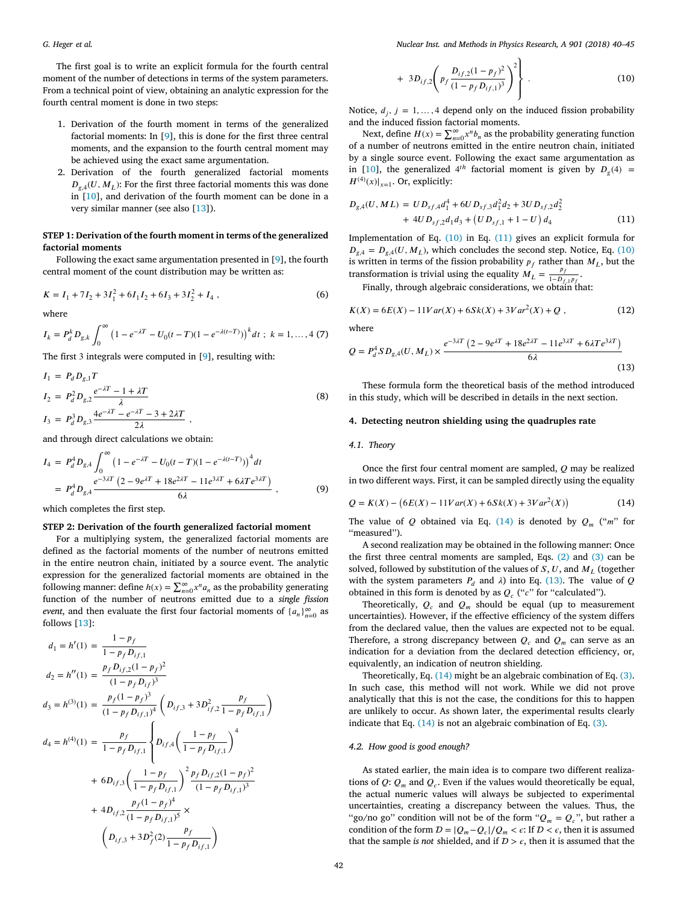The first goal is to write an explicit formula for the fourth central moment of the number of detections in terms of the system parameters. From a technical point of view, obtaining an analytic expression for the fourth central moment is done in two steps:

- 1. Derivation of the fourth moment in terms of the generalized factorial moments: In [\[9\]](#page-5-9), this is done for the first three central moments, and the expansion to the fourth central moment may be achieved using the exact same argumentation.
- 2. Derivation of the fourth generalized factorial moments  $D_{g,4}(U, M_L)$ : For the first three factorial moments this was done in [\[10\]](#page-5-10), and derivation of the fourth moment can be done in a very similar manner (see also [\[13\]](#page-5-13)).

# **STEP 1: Derivation of the fourth moment in terms of the generalized factorial moments**

Following the exact same argumentation presented in [\[9\]](#page-5-9), the fourth central moment of the count distribution may be written as:

$$
K = I_1 + 7I_2 + 3I_1^2 + 6I_1I_2 + 6I_3 + 3I_2^2 + I_4,
$$
\n(6)

where

$$
I_k = P_d^k D_{g,k} \int_0^\infty \left(1 - e^{-\lambda T} - U_0(t - T)(1 - e^{-\lambda(t - T)})\right)^k dt \; ; \; k = 1, ..., 4 \; (7)
$$

The first 3 integrals were computed in [\[9\]](#page-5-9), resulting with:

$$
I_1 = P_d D_{g,1} T
$$
  
\n
$$
I_2 = P_d^2 D_{g,2} \frac{e^{-\lambda T} - 1 + \lambda T}{\lambda}
$$
  
\n
$$
I_3 = P_d^3 D_{g,3} \frac{4e^{-\lambda T} - e^{-\lambda T} - 3 + 2\lambda T}{2\lambda}
$$
 (8)

and through direct calculations we obtain:

$$
I_4 = P_d^4 D_{g,4} \int_0^\infty \left(1 - e^{-\lambda T} - U_0(t - T)(1 - e^{-\lambda(t - T)})\right)^4 dt
$$
  
=  $P_d^4 D_{g,4} \frac{e^{-3\lambda T} \left(2 - 9e^{\lambda T} + 18e^{2\lambda T} - 11e^{3\lambda T} + 6\lambda Te^{3\lambda T}\right)}{6\lambda}$ , (9)

which completes the first step.

# **STEP 2: Derivation of the fourth generalized factorial moment**

For a multiplying system, the generalized factorial moments are defined as the factorial moments of the number of neutrons emitted in the entire neutron chain, initiated by a source event. The analytic expression for the generalized factorial moments are obtained in the following manner: define  $h(x) = \sum_{n=0}^{\infty} x^n a_n$  as the probability generating function of the number of neutrons emitted due to a *single fission event*, and then evaluate the first four factorial moments of  $\{a_n\}_{n=0}^{\infty}$  as follows [\[13\]](#page-5-13):

<span id="page-2-1"></span>
$$
d_1 = h'(1) = \frac{1 - p_f}{1 - p_f D_{if,1}}
$$
  
\n
$$
d_2 = h''(1) = \frac{p_f D_{if,2}(1 - p_f)^2}{(1 - p_f D_{if})^3}
$$
  
\n
$$
d_3 = h^{(3)}(1) = \frac{p_f(1 - p_f)^3}{(1 - p_f D_{if,1})^4} \left(D_{if,3} + 3D_{if,2}^2 \frac{p_f}{1 - p_f D_{if,1}}\right)
$$
  
\n
$$
d_4 = h^{(4)}(1) = \frac{p_f}{1 - p_f D_{if,1}} \left\{D_{if,4} \left(\frac{1 - p_f}{1 - p_f D_{if,1}}\right)^4 + 6D_{if,3} \left(\frac{1 - p_f}{1 - p_f D_{if,1}}\right)^2 \frac{p_f D_{if,2}(1 - p_f)^2}{(1 - p_f D_{if,1})^3} + 4D_{if,2} \frac{p_f(1 - p_f)^4}{(1 - p_f D_{if,1})^5} \times \left(D_{if,3} + 3D_f^2(2) \frac{p_f}{1 - p_f D_{if,1}}\right)
$$

$$
+ 3D_{if,2}\left(p_f \frac{D_{if,2}(1-p_f)^2}{(1-p_f D_{if,1})^3}\right)^2\right\}.
$$
 (10)

Notice,  $d_j$ ,  $j = 1, ..., 4$  depend only on the induced fission probability and the induced fission factorial moments.

Next, define  $H(x) = \sum_{n=0}^{\infty} x^n b_n$  as the probability generating function of a number of neutrons emitted in the entire neutron chain, initiated by a single source event. Following the exact same argumentation as in [\[10\]](#page-5-10), the generalized  $4^{th}$  factorial moment is given by  $D_g(4)$  =  $H^{(4)}(x)|_{x=1}$ . Or, explicitly:

<span id="page-2-2"></span>
$$
D_{g,4}(U, ML) = UD_{sf,4}d_1^4 + 6UD_{sf,3}d_1^2d_2 + 3UD_{sf,2}d_2^2
$$
  
+ 4UD\_{sf,2}d\_1d\_3 + (UD\_{sf,1} + 1 - U) d\_4 (11)

Implementation of Eq. [\(10\)](#page-2-1) in Eq. [\(11\)](#page-2-2) gives an explicit formula for  $D_{g,4} = D_{g,4}(U, M_L)$ , which concludes the second step. Notice, Eq. [\(10\)](#page-2-1) is written in terms of the fission probability  $p_f$  rather than  $M_L$ , but the transformation is trivial using the equality  $M_L = \frac{p_f}{1 - D_A}$  $\frac{P_f}{1 - D_{f,1}P_f}$ .

Finally, through algebraic considerations, we obtain that:

$$
K(X) = 6E(X) - 11Var(X) + 6Sk(X) + 3Var2(X) + Q,
$$
\n(12)

where

<span id="page-2-4"></span>
$$
Q = P_d^4 SD_{g,4}(U, M_L) \times \frac{e^{-3\lambda T} (2 - 9e^{\lambda T} + 18e^{2\lambda T} - 11e^{3\lambda T} + 6\lambda T e^{3\lambda T})}{6\lambda}
$$
\n(13)

These formula form the theoretical basis of the method introduced in this study, which will be described in details in the next section.

## <span id="page-2-0"></span>**4. Detecting neutron shielding using the quadruples rate**

#### *4.1. Theory*

Once the first four central moment are sampled,  $Q$  may be realized in two different ways. First, it can be sampled directly using the equality

<span id="page-2-3"></span>
$$
Q = K(X) - (6E(X) - 11Var(X) + 6Sk(X) + 3Var^{2}(X))
$$
\n(14)

The value of Q obtained via Eq. [\(14\)](#page-2-3) is denoted by  $Q_m$  ("m" for "measured").

A second realization may be obtained in the following manner: Once the first three central moments are sampled, Eqs. [\(2\)](#page-1-4) and [\(3\)](#page-1-5) can be solved, followed by substitution of the values of  $S, U$ , and  $M<sub>I</sub>$  (together with the system parameters  $P_d$  and  $\lambda$ ) into Eq. [\(13\).](#page-2-4) The value of Q obtained in this form is denoted by as  $Q_c$  ("c" for "calculated").

Theoretically,  $Q_c$  and  $Q_m$  should be equal (up to measurement uncertainties). However, if the effective efficiency of the system differs from the declared value, then the values are expected not to be equal. Therefore, a strong discrepancy between  $Q_c$  and  $Q_m$  can serve as an indication for a deviation from the declared detection efficiency, or, equivalently, an indication of neutron shielding.

Theoretically, Eq. [\(14\)](#page-2-3) might be an algebraic combination of Eq. [\(3\).](#page-1-5) In such case, this method will not work. While we did not prove analytically that this is not the case, the conditions for this to happen are unlikely to occur. As shown later, the experimental results clearly indicate that Eq. [\(14\)](#page-2-3) is not an algebraic combination of Eq. [\(3\).](#page-1-5)

#### <span id="page-2-5"></span>*4.2. How good is good enough?*

As stated earlier, the main idea is to compare two different realizations of  $Q$ :  $Q_m$  and  $Q_c$ . Even if the values would theoretically be equal, the actual numeric values will always be subjected to experimental uncertainties, creating a discrepancy between the values. Thus, the "go/no go" condition will not be of the form " $Q_m = Q_c$ ", but rather a condition of the form  $D = |Q_m - Q_c|/Q_m < \epsilon$ : If  $D < \epsilon$ , then it is assumed that the sample *is not* shielded, and if  $D > \epsilon$ , then it is assumed that the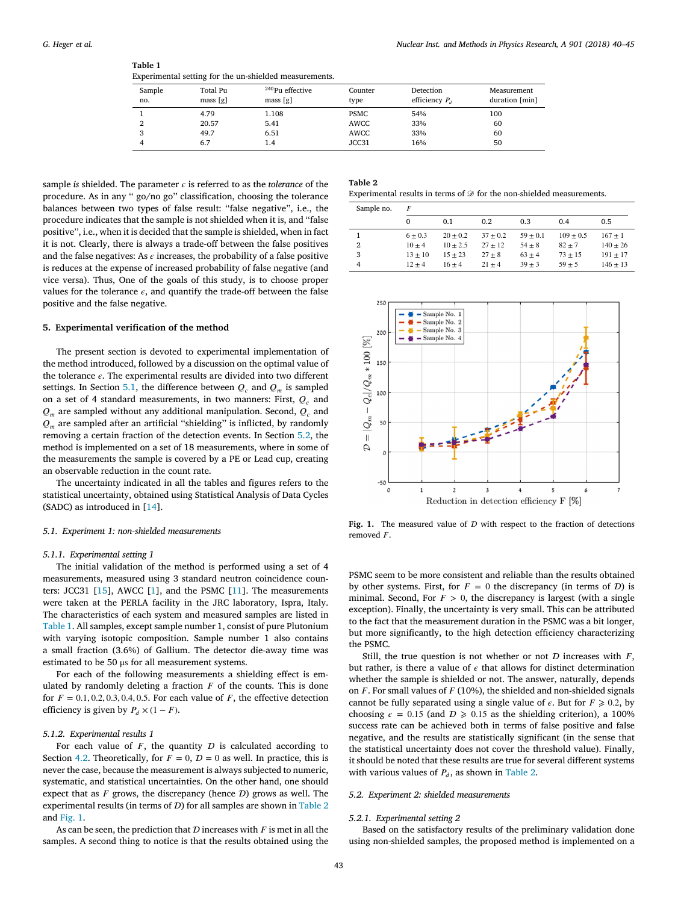<span id="page-3-3"></span>

| Table 1                                                |
|--------------------------------------------------------|
| Experimental setting for the un-shielded measurements. |

| Sample<br>no. | Total Pu<br>mass[g] | <sup>240</sup> Pu effective<br>mass[g] | Counter<br>type | Detection<br>efficiency $P_d$ | Measurement<br>duration [min] |
|---------------|---------------------|----------------------------------------|-----------------|-------------------------------|-------------------------------|
|               | 4.79                | 1.108                                  | <b>PSMC</b>     | 54%                           | 100                           |
|               | 20.57               | 5.41                                   | AWCC            | 33%                           | 60                            |
|               | 49.7                | 6.51                                   | AWCC            | 33%                           | 60                            |
|               | 6.7                 | 1.4                                    | JCC31           | 16%                           | 50                            |

sample *is* shielded. The parameter  $\epsilon$  is referred to as the *tolerance* of the procedure. As in any '' go/no go'' classification, choosing the tolerance balances between two types of false result: ''false negative'', i.e., the procedure indicates that the sample is not shielded when it is, and ''false positive'', i.e., when it is decided that the sample is shielded, when in fact it is not. Clearly, there is always a trade-off between the false positives and the false negatives: As  $\epsilon$  increases, the probability of a false positive is reduces at the expense of increased probability of false negative (and vice versa). Thus, One of the goals of this study, is to choose proper values for the tolerance  $\epsilon$ , and quantify the trade-off between the false positive and the false negative.

# <span id="page-3-0"></span>**5. Experimental verification of the method**

The present section is devoted to experimental implementation of the method introduced, followed by a discussion on the optimal value of the tolerance  $\epsilon$ . The experimental results are divided into two different settings. In Section [5.1,](#page-3-1) the difference between  $Q_c$  and  $Q_m$  is sampled on a set of 4 standard measurements, in two manners: First,  $Q_c$  and  $Q_m$  are sampled without any additional manipulation. Second,  $Q_c$  and  $Q_m$  are sampled after an artificial "shielding" is inflicted, by randomly removing a certain fraction of the detection events. In Section [5.2,](#page-3-2) the method is implemented on a set of 18 measurements, where in some of the measurements the sample is covered by a PE or Lead cup, creating an observable reduction in the count rate.

The uncertainty indicated in all the tables and figures refers to the statistical uncertainty, obtained using Statistical Analysis of Data Cycles (SADC) as introduced in [\[14\]](#page-5-14).

### <span id="page-3-1"></span>*5.1. Experiment 1: non-shielded measurements*

# *5.1.1. Experimental setting 1*

The initial validation of the method is performed using a set of 4 measurements, measured using 3 standard neutron coincidence counters: JCC31 [\[15\]](#page-5-15), AWCC [\[1\]](#page-5-0), and the PSMC [\[11\]](#page-5-11). The measurements were taken at the PERLA facility in the JRC laboratory, Ispra, Italy. The characteristics of each system and measured samples are listed in [Table 1.](#page-3-3) All samples, except sample number 1, consist of pure Plutonium with varying isotopic composition. Sample number 1 also contains a small fraction (3.6%) of Gallium. The detector die-away time was estimated to be 50 μs for all measurement systems.

For each of the following measurements a shielding effect is emulated by randomly deleting a fraction  $F$  of the counts. This is done for  $F = 0.1, 0.2, 0.3, 0.4, 0.5$ . For each value of F, the effective detection efficiency is given by  $P_d \times (1 - F)$ .

#### *5.1.2. Experimental results 1*

For each value of  $F$ , the quantity  $D$  is calculated according to Section [4.2.](#page-2-5) Theoretically, for  $F = 0$ ,  $D = 0$  as well. In practice, this is never the case, because the measurement is always subjected to numeric, systematic, and statistical uncertainties. On the other hand, one should expect that as  $F$  grows, the discrepancy (hence  $D$ ) grows as well. The experimental results (in terms of  $D$ ) for all samples are shown in [Table 2](#page-3-4) and [Fig. 1.](#page-3-5)

As can be seen, the prediction that  $D$  increases with  $F$  is met in all the samples. A second thing to notice is that the results obtained using the

<span id="page-3-4"></span>

| l'able |  |
|--------|--|
|        |  |

Experimental results in terms of  $\mathcal D$  for the non-shielded measurements.

| Sample no. | F         |            |            |            |             |              |
|------------|-----------|------------|------------|------------|-------------|--------------|
|            | 0         | 0.1        | 0.2        | 0.3        | 0.4         | 0.5          |
|            | $6 + 0.3$ | $20 + 0.2$ | $37 + 0.2$ | $59 + 0.1$ | $109 + 0.5$ | $167 + 1$    |
| 2          | $10 + 4$  | $10 + 2.5$ | $27 + 12$  | $54 + 8$   | $82 + 7$    | $140 \pm 26$ |
| 3          | $13 + 10$ | $15 + 23$  | $27 + 8$   | $63 + 4$   | $73 + 15$   | $191 + 17$   |
| 4          | $12 + 4$  | $16 + 4$   | $21 + 4$   | $39 + 3$   | $59 + 5$    | $146 \pm 13$ |
|            |           |            |            |            |             |              |

<span id="page-3-5"></span>

Fig. 1. The measured value of  $D$  with respect to the fraction of detections removed  $F$ 

PSMC seem to be more consistent and reliable than the results obtained by other systems. First, for  $F = 0$  the discrepancy (in terms of D) is minimal. Second, For  $F > 0$ , the discrepancy is largest (with a single exception). Finally, the uncertainty is very small. This can be attributed to the fact that the measurement duration in the PSMC was a bit longer, but more significantly, to the high detection efficiency characterizing the PSMC.

Still, the true question is not whether or not  $D$  increases with  $F$ , but rather, is there a value of  $\epsilon$  that allows for distinct determination whether the sample is shielded or not. The answer, naturally, depends on  $F$ . For small values of  $F(10%)$ , the shielded and non-shielded signals cannot be fully separated using a single value of  $\epsilon$ . But for  $F \ge 0.2$ , by choosing  $\epsilon = 0.15$  (and  $D \ge 0.15$  as the shielding criterion), a 100% success rate can be achieved both in terms of false positive and false negative, and the results are statistically significant (in the sense that the statistical uncertainty does not cover the threshold value). Finally, it should be noted that these results are true for several different systems with various values of  $P_d$ , as shown in [Table 2.](#page-3-4)

### <span id="page-3-2"></span>*5.2. Experiment 2: shielded measurements*

### *5.2.1. Experimental setting 2*

Based on the satisfactory results of the preliminary validation done using non-shielded samples, the proposed method is implemented on a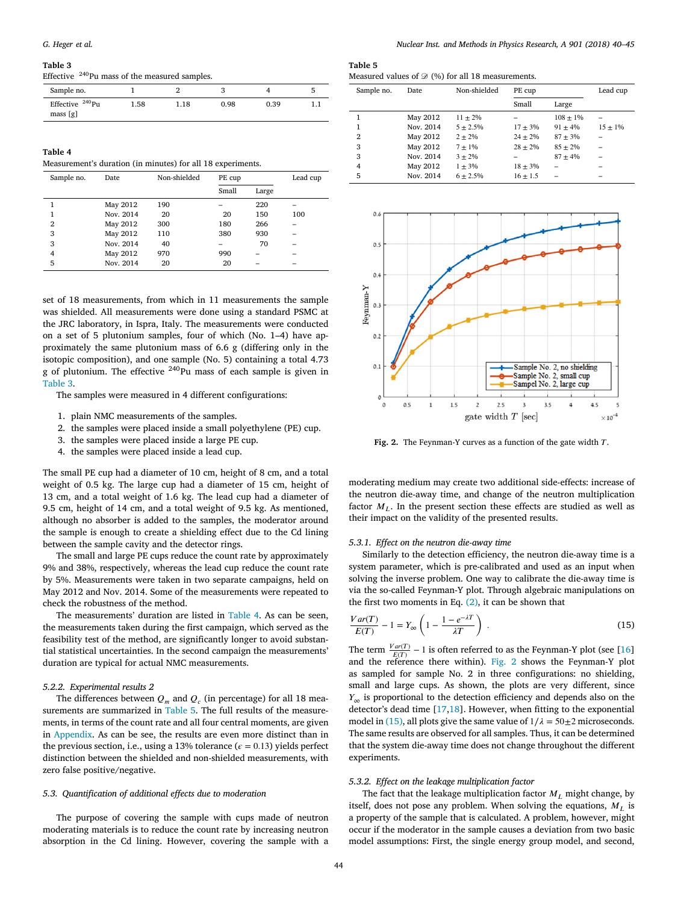#### <span id="page-4-0"></span>**Table 3**

Effective <sup>240</sup>Pu mass of the measured samples.

| Sample no.                              |      |      |      |      |  |
|-----------------------------------------|------|------|------|------|--|
| Effective <sup>240</sup> Pu<br>mass [g] | 1.58 | 1.18 | 0.98 | 0.39 |  |

<span id="page-4-1"></span>**Table 4**

Measurement's duration (in minutes) for all 18 experiments.

| Sample no.     | Date      | Non-shielded | PE cup |       | Lead cup |
|----------------|-----------|--------------|--------|-------|----------|
|                |           |              | Small  | Large |          |
|                | May 2012  | 190          |        | 220   |          |
|                | Nov. 2014 | 20           | 20     | 150   | 100      |
| $\overline{2}$ | May 2012  | 300          | 180    | 266   |          |
| 3              | May 2012  | 110          | 380    | 930   |          |
| 3              | Nov. 2014 | 40           |        | 70    |          |
| 4              | May 2012  | 970          | 990    |       |          |
| 5              | Nov. 2014 | 20           | 20     |       |          |

set of 18 measurements, from which in 11 measurements the sample was shielded. All measurements were done using a standard PSMC at the JRC laboratory, in Ispra, Italy. The measurements were conducted on a set of 5 plutonium samples, four of which (No. 1–4) have approximately the same plutonium mass of 6.6 g (differing only in the isotopic composition), and one sample (No. 5) containing a total 4.73 g of plutonium. The effective <sup>240</sup>Pu mass of each sample is given in [Table 3.](#page-4-0)

The samples were measured in 4 different configurations:

- 1. plain NMC measurements of the samples.
- 2. the samples were placed inside a small polyethylene (PE) cup.
- 3. the samples were placed inside a large PE cup.
- 4. the samples were placed inside a lead cup.

The small PE cup had a diameter of 10 cm, height of 8 cm, and a total weight of 0.5 kg. The large cup had a diameter of 15 cm, height of 13 cm, and a total weight of 1.6 kg. The lead cup had a diameter of 9.5 cm, height of 14 cm, and a total weight of 9.5 kg. As mentioned, although no absorber is added to the samples, the moderator around the sample is enough to create a shielding effect due to the Cd lining between the sample cavity and the detector rings.

The small and large PE cups reduce the count rate by approximately 9% and 38%, respectively, whereas the lead cup reduce the count rate by 5%. Measurements were taken in two separate campaigns, held on May 2012 and Nov. 2014. Some of the measurements were repeated to check the robustness of the method.

The measurements' duration are listed in [Table 4.](#page-4-1) As can be seen, the measurements taken during the first campaign, which served as the feasibility test of the method, are significantly longer to avoid substantial statistical uncertainties. In the second campaign the measurements' duration are typical for actual NMC measurements.

#### *5.2.2. Experimental results 2*

The differences between  $Q_m$  and  $Q_c$  (in percentage) for all 18 measurements are summarized in [Table 5.](#page-4-2) The full results of the measurements, in terms of the count rate and all four central moments, are given in [Appendix.](#page-5-16) As can be see, the results are even more distinct than in the previous section, i.e., using a 13% tolerance ( $\epsilon$  = 0.13) yields perfect distinction between the shielded and non-shielded measurements, with zero false positive/negative.

# *5.3. Quantification of additional effects due to moderation*

The purpose of covering the sample with cups made of neutron moderating materials is to reduce the count rate by increasing neutron absorption in the Cd lining. However, covering the sample with a

# <span id="page-4-2"></span>**Table 5**

| Measured values of $\mathcal{D}$ (%) for all 18 measurements. |  |  |
|---------------------------------------------------------------|--|--|
|---------------------------------------------------------------|--|--|

| Sample no. | <b>Date</b> | Non-shielded  | PE cup       |              | Lead cup   |
|------------|-------------|---------------|--------------|--------------|------------|
|            |             |               | Small        | Large        |            |
|            | May 2012    | $11 + 2\%$    |              | $108 + 1\%$  |            |
|            | Nov. 2014   | $5 \pm 2.5\%$ | $17 + 3\%$   | $91 + 4%$    | $15 + 1\%$ |
| 2          | May 2012    | $2 + 2\%$     | $24 + 2\%$   | $87 \pm 3\%$ |            |
| 3          | May 2012    | $7 + 1\%$     | $28 + 2\%$   | $85 + 2\%$   |            |
| 3          | Nov. 2014   | $3 + 2\%$     | -            | $87 + 4%$    |            |
| 4          | May 2012    | $1 + 3\%$     | $18 \pm 3\%$ |              |            |
| 5          | Nov. 2014   | $6 + 2.5%$    | $16 \pm 1.5$ |              |            |

<span id="page-4-3"></span>

Fig. 2. The Feynman-Y curves as a function of the gate width T.

moderating medium may create two additional side-effects: increase of the neutron die-away time, and change of the neutron multiplication factor  $M<sub>L</sub>$ . In the present section these effects are studied as well as their impact on the validity of the presented results.

#### *5.3.1. Effect on the neutron die-away time*

Similarly to the detection efficiency, the neutron die-away time is a system parameter, which is pre-calibrated and used as an input when solving the inverse problem. One way to calibrate the die-away time is via the so-called Feynman-Y plot. Through algebraic manipulations on the first two moments in Eq.  $(2)$ , it can be shown that

<span id="page-4-4"></span>
$$
\frac{Var(T)}{E(T)} - 1 = Y_{\infty} \left( 1 - \frac{1 - e^{-\lambda T}}{\lambda T} \right) \tag{15}
$$

The term  $\frac{Var(T)}{E(T)} - 1$  is often referred to as the Feynman-Y plot (see [\[16\]](#page-5-17) and the reference there within). [Fig. 2](#page-4-3) shows the Feynman-Y plot as sampled for sample No. 2 in three configurations: no shielding, small and large cups. As shown, the plots are very different, since  $Y_{\infty}$  is proportional to the detection efficiency and depends also on the detector's dead time [\[17,](#page-5-18)[18\]](#page-5-19). However, when fitting to the exponential model in [\(15\),](#page-4-4) all plots give the same value of  $1/\lambda = 50 \pm 2$  microseconds. The same results are observed for all samples. Thus, it can be determined that the system die-away time does not change throughout the different experiments.

#### *5.3.2. Effect on the leakage multiplication factor*

The fact that the leakage multiplication factor  $M_L$  might change, by itself, does not pose any problem. When solving the equations,  $M_L$  is a property of the sample that is calculated. A problem, however, might occur if the moderator in the sample causes a deviation from two basic model assumptions: First, the single energy group model, and second,